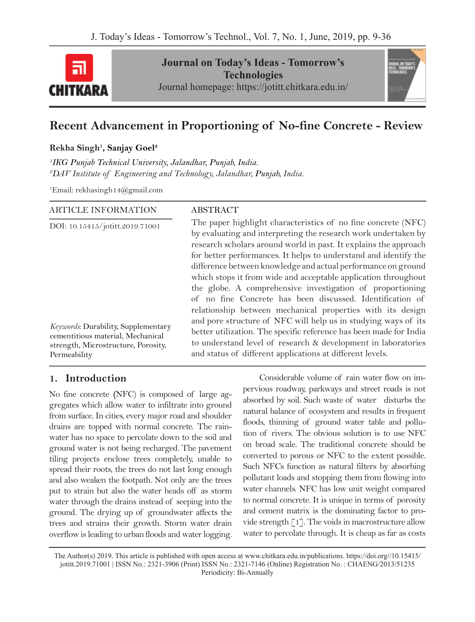

**Journal on Today's Ideas - Tomorrow's Technologies** Journal homepage: https://jotitt.chitkara.edu.in/



# **Recent Advancement in Proportioning of No-fine Concrete - Review**

### **Rekha Singh1 , Sanjay Goel2**

*1 IKG Punjab Technical University, Jalandhar, Punjab, India. 2 DAV Institute of Engineering and Technology, Jalandhar, Punjab, India.*

1 Email: rekhasingh14@gmail.com

| <b>ARTICLE INFORMATION</b>                                                                                                             | <b>ABSTRACT</b>                                                                                                                                                                                                                                                                                                                                                                                                                                                                                                                                                                                    |
|----------------------------------------------------------------------------------------------------------------------------------------|----------------------------------------------------------------------------------------------------------------------------------------------------------------------------------------------------------------------------------------------------------------------------------------------------------------------------------------------------------------------------------------------------------------------------------------------------------------------------------------------------------------------------------------------------------------------------------------------------|
| DOI: 10.15415/jotitt.2019.71001                                                                                                        | The paper highlight characteristics of no fine concrete (NFC)<br>by evaluating and interpreting the research work undertaken by<br>research scholars around world in past. It explains the approach<br>for better performances. It helps to understand and identify the<br>difference between knowledge and actual performance on ground<br>which stops it from wide and acceptable application throughout<br>the globe. A comprehensive investigation of proportioning<br>of no fine Concrete has been discussed. Identification of<br>relationship between mechanical properties with its design |
| <i>Keywords: Durability, Supplementary</i><br>cementitious material, Mechanical<br>strength, Microstructure, Porosity,<br>Permeability | and pore structure of NFC will help us in studying ways of its<br>better utilization. The specific reference has been made for India<br>to understand level of research & development in laboratories<br>and status of different applications at different levels.                                                                                                                                                                                                                                                                                                                                 |

## **1. Introduction**

No fine concrete **(**NFC) is composed of large aggregates which allow water to infiltrate into ground from surface. In cities, every major road and shoulder drains are topped with normal concrete. The rainwater has no space to percolate down to the soil and ground water is not being recharged. The pavement tiling projects enclose trees completely, unable to spread their roots, the trees do not last long enough and also weaken the footpath. Not only are the trees put to strain but also the water heads off as storm water through the drains instead of seeping into the ground. The drying up of groundwater affects the trees and strains their growth. Storm water drain overflow is leading to urban floods and water logging.

Considerable volume of rain water flow on impervious roadway, parkways and street roads is not absorbed by soil. Such waste of water disturbs the natural balance of ecosystem and results in frequent floods, thinning of ground water table and pollution of rivers. The obvious solution is to use NFC on broad scale. The traditional concrete should be converted to porous or NFC to the extent possible. Such NFCs function as natural filters by absorbing pollutant loads and stopping them from flowing into water channels. NFC has low unit weight compared to normal concrete. It is unique in terms of porosity and cement matrix is the dominating factor to provide strength [1]. The voids in macrostructure allow water to percolate through. It is cheap as far as costs

The Author(s) 2019. This article is published with open access at www.chitkara.edu.in/publications. https://doi.org//10.15415/ jotitt.2019.71001 | ISSN No.: 2321-3906 (Print) ISSN No.: 2321-7146 (Online) Registration No. : CHAENG/2013/51235 Periodicity: Bi-Annually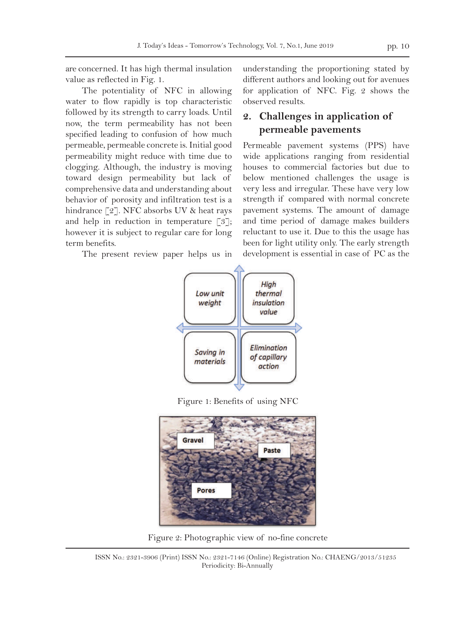are concerned. It has high thermal insulation value as reflected in Fig. 1.

The potentiality of NFC in allowing water to flow rapidly is top characteristic followed by its strength to carry loads. Until now, the term permeability has not been specified leading to confusion of how much permeable, permeable concrete is. Initial good permeability might reduce with time due to clogging. Although, the industry is moving toward design permeability but lack of comprehensive data and understanding about behavior of porosity and infiltration test is a hindrance [2]. NFC absorbs UV & heat rays and help in reduction in temperature  $\lceil 3 \rceil$ ; however it is subject to regular care for long term benefits.

The present review paper helps us in

understanding the proportioning stated by different authors and looking out for avenues for application of NFC. Fig. 2 shows the observed results.

## **2. Challenges in application of permeable pavements**

Permeable pavement systems (PPS) have wide applications ranging from residential houses to commercial factories but due to below mentioned challenges the usage is very less and irregular. These have very low strength if compared with normal concrete pavement systems. The amount of damage and time period of damage makes builders reluctant to use it. Due to this the usage has been for light utility only. The early strength development is essential in case of PC as the



Figure 1: Benefits of using NFC



Figure 2: Photographic view of no-fine concrete

ISSN No.: 2321-3906 (Print) ISSN No.: 2321-7146 (Online) Registration No.: CHAENG/2013/51235 Periodicity: Bi-Annually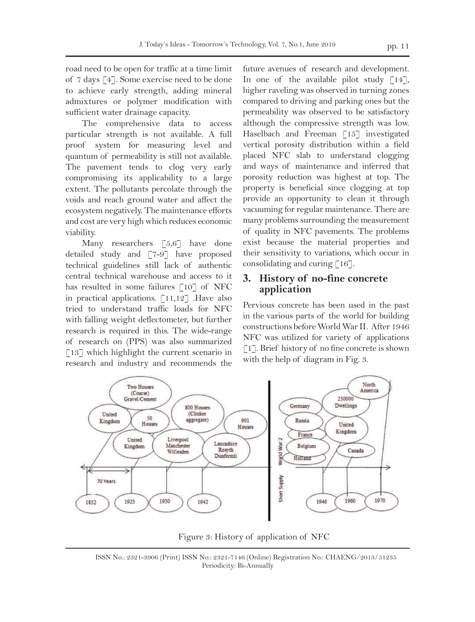road need to be open for traffic at a time limit of 7 days [4]. Some exercise need to be done to achieve early strength, adding mineral admixtures or polymer modification with sufficient water drainage capacity.

The comprehensive data to access particular strength is not available. A full proof system for measuring level and quantum of permeability is still not available. The pavement tends to clog very early compromising its applicability to a large extent. The pollutants percolate through the voids and reach ground water and affect the ecosystem negatively. The maintenance efforts and cost are very high which reduces economic viability.

Many researchers [5,6] have done detailed study and [7-9] have proposed technical guidelines still lack of authentic central technical warehouse and access to it has resulted in some failures [10] of NFC in practical applications. [11,12] .Have also tried to understand traffic loads for NFC with falling weight deflectometer, but further research is required in this. The wide-range of research on (PPS) was also summarized  $\lceil 13 \rceil$  which highlight the current scenario in research and industry and recommends the

future avenues of research and development. In one of the available pilot study  $[14]$ , higher raveling was observed in turning zones compared to driving and parking ones but the permeability was observed to be satisfactory although the compressive strength was low. Haselbach and Freeman [15] investigated vertical porosity distribution within a field placed NFC slab to understand clogging and ways of maintenance and inferred that porosity reduction was highest at top. The property is beneficial since clogging at top provide an opportunity to clean it through vacuuming for regular maintenance. There are many problems surrounding the measurement of quality in NFC pavements. The problems exist because the material properties and their sensitivity to variations, which occur in consolidating and curing [16].

## **3. History of no-fine concrete application**

Pervious concrete has been used in the past in the various parts of the world for building constructions before World War II. After 1946 NFC was utilized for variety of applications [1]. Brief history of no fine concrete is shown with the help of diagram in Fig. 3.



Figure 3: History of application of NFC

ISSN No.: 2321-3906 (Print) ISSN No.: 2321-7146 (Online) Registration No.: CHAENG/2013/51235 Periodicity: Bi-Annually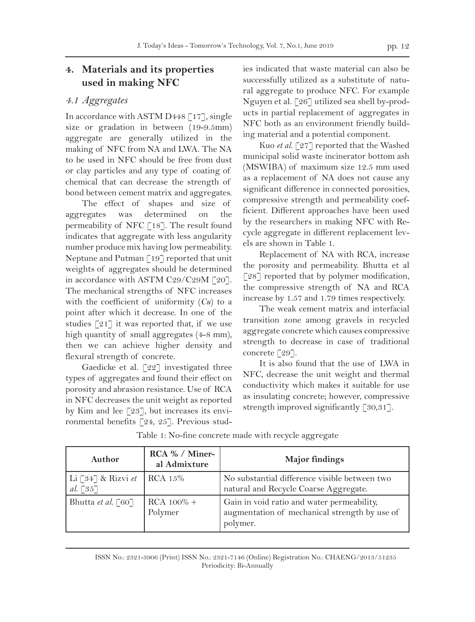## **4. Materials and its properties used in making NFC**

## *4.1 Aggregates*

In accordance with ASTM D448 [17], single size or gradation in between (19-9.5mm) aggregate are generally utilized in the making of NFC from NA and LWA. The NA to be used in NFC should be free from dust or clay particles and any type of coating of chemical that can decrease the strength of bond between cement matrix and aggregates.

The effect of shapes and size of aggregates was determined on the permeability of NFC [18]. The result found indicates that aggregate with less angularity number produce mix having low permeability. Neptune and Putman [19] reported that unit weights of aggregates should be determined in accordance with ASTM C29/C29M [20]. The mechanical strengths of NFC increases with the coefficient of uniformity (*Cu*) to a point after which it decrease. In one of the studies [21] it was reported that, if we use high quantity of small aggregates (4-8 mm), then we can achieve higher density and flexural strength of concrete.

Gaedicke et al. [22] investigated three types of aggregates and found their effect on porosity and abrasion resistance. Use of RCA in NFC decreases the unit weight as reported by Kim and lee [23], but increases its environmental benefits [24, 25]. Previous studies indicated that waste material can also be successfully utilized as a substitute of natural aggregate to produce NFC. For example Nguyen et al. [26] utilized sea shell by-products in partial replacement of aggregates in NFC both as an environment friendly building material and a potential component.

Kuo *et al*. [27] reported that the Washed municipal solid waste incinerator bottom ash (MSWIBA) of maximum size 12.5 mm used as a replacement of NA does not cause any significant difference in connected porosities, compressive strength and permeability coefficient. Different approaches have been used by the researchers in making NFC with Recycle aggregate in different replacement levels are shown in Table 1.

Replacement of NA with RCA, increase the porosity and permeability. Bhutta et al [28] reported that by polymer modification, the compressive strength of NA and RCA increase by 1.57 and 1.79 times respectively.

The weak cement matrix and interfacial transition zone among gravels in recycled aggregate concrete which causes compressive strength to decrease in case of traditional concrete [29].

It is also found that the use of LWA in NFC, decrease the unit weight and thermal conductivity which makes it suitable for use as insulating concrete; however, compressive strength improved significantly [30,31].

| Author                                                                          | $RCA \% / Miner-$<br>al Admixture | <b>Major</b> findings                                                                                   |
|---------------------------------------------------------------------------------|-----------------------------------|---------------------------------------------------------------------------------------------------------|
| Li [34] & Rizvi et   RCA 15%<br>al. $\left[\begin{matrix}35\end{matrix}\right]$ |                                   | No substantial difference visible between two<br>natural and Recycle Coarse Aggregate.                  |
| Bhutta et al. [60]                                                              | $RCA 100\% +$<br>Polymer          | Gain in void ratio and water permeability,<br>augmentation of mechanical strength by use of<br>polymer. |

Table 1: No-fine concrete made with recycle aggregate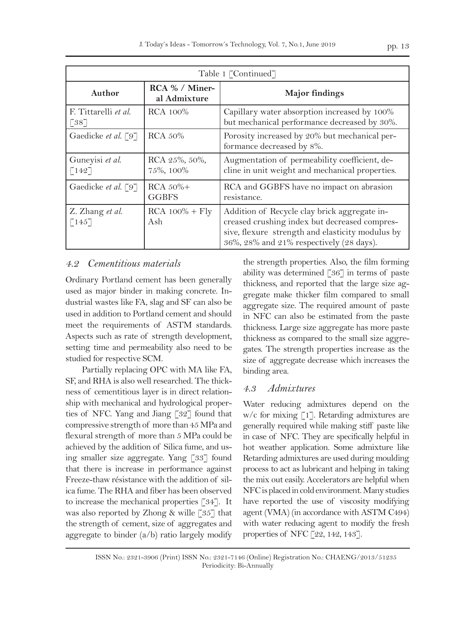| Table 1 [Continued]                                  |                                    |                                                                                                                                                                                               |  |
|------------------------------------------------------|------------------------------------|-----------------------------------------------------------------------------------------------------------------------------------------------------------------------------------------------|--|
| Author                                               | $RCA \% / Miner-$<br>al Admixture  | <b>Major</b> findings                                                                                                                                                                         |  |
| F. Tittarelli et al.<br>$\left\lceil 38\right\rceil$ | <b>RCA</b> 100%                    | Capillary water absorption increased by 100%<br>but mechanical performance decreased by 30%.                                                                                                  |  |
| Gaedicke et al. [9]                                  | <b>RCA</b> 50%                     | Porosity increased by 20% but mechanical per-<br>formance decreased by 8%.                                                                                                                    |  |
| Guneyisi et al.<br>[142]                             | RCA $25\%$ , $50\%$ ,<br>75%, 100% | Augmentation of permeability coefficient, de-<br>cline in unit weight and mechanical properties.                                                                                              |  |
| Gaedicke et al. [9]                                  | $RCA$ 50%+<br><b>GGBFS</b>         | RCA and GGBFS have no impact on abrasion<br>resistance.                                                                                                                                       |  |
| Z. Zhang et al.<br>[145]                             | $RCA$ 100% + $Fly$<br>Ash          | Addition of Recycle clay brick aggregate in-<br>creased crushing index but decreased compres-<br>sive, flexure strength and elasticity modulus by<br>36%, 28% and 21% respectively (28 days). |  |

#### *4.2 Cementitious materials*

Ordinary Portland cement has been generally used as major binder in making concrete. Industrial wastes like FA, slag and SF can also be used in addition to Portland cement and should meet the requirements of ASTM standards. Aspects such as rate of strength development, setting time and permeability also need to be studied for respective SCM.

Partially replacing OPC with MA like FA, SF, and RHA is also well researched. The thickness of cementitious layer is in direct relationship with mechanical and hydrological properties of NFC. Yang and Jiang [32] found that compressive strength of more than 45 MPa and flexural strength of more than 5 MPa could be achieved by the addition of Silica fume, and using smaller size aggregate. Yang [33] found that there is increase in performance against Freeze-thaw résistance with the addition of silica fume. The RHA and fiber has been observed to increase the mechanical properties [34]. It was also reported by Zhong & wille [35] that the strength of cement, size of aggregates and aggregate to binder (a/b) ratio largely modify

the strength properties. Also, the film forming ability was determined [36] in terms of paste thickness, and reported that the large size aggregate make thicker film compared to small aggregate size. The required amount of paste in NFC can also be estimated from the paste thickness. Large size aggregate has more paste thickness as compared to the small size aggregates. The strength properties increase as the size of aggregate decrease which increases the binding area.

### *4.3 Admixtures*

Water reducing admixtures depend on the w/c for mixing [1]. Retarding admixtures are generally required while making stiff paste like in case of NFC. They are specifically helpful in hot weather application. Some admixture like Retarding admixtures are used during moulding process to act as lubricant and helping in taking the mix out easily. Accelerators are helpful when NFC is placed in cold environment. Many studies have reported the use of viscosity modifying agent (VMA) (in accordance with ASTM C494) with water reducing agent to modify the fresh properties of NFC [22, 142, 143].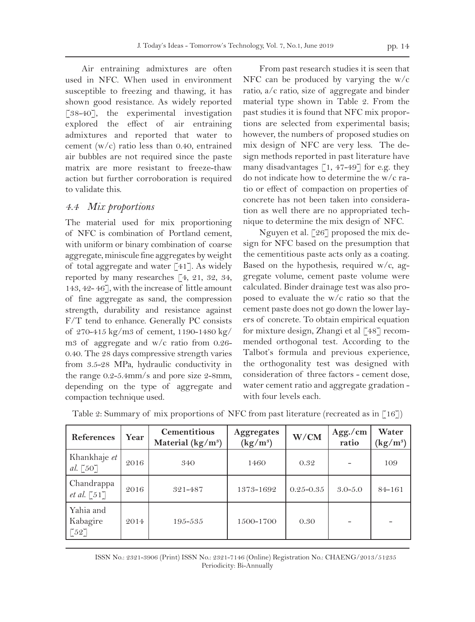Air entraining admixtures are often used in NFC. When used in environment susceptible to freezing and thawing, it has shown good resistance. As widely reported [38-40], the experimental investigation explored the effect of air entraining admixtures and reported that water to cement (w/c) ratio less than 0.40, entrained air bubbles are not required since the paste matrix are more resistant to freeze-thaw action but further corroboration is required to validate this.

### *4.4 Mix proportions*

The material used for mix proportioning of NFC is combination of Portland cement, with uniform or binary combination of coarse aggregate, miniscule fine aggregates by weight of total aggregate and water [41]. As widely reported by many researches [4, 21, 32, 34, 143, 42- 46], with the increase of little amount of fine aggregate as sand, the compression strength, durability and resistance against F/T tend to enhance. Generally PC consists of 270-415 kg/m3 of cement, 1190-1480 kg/ m3 of aggregate and w/c ratio from 0.26- 0.40. The 28 days compressive strength varies from 3.5-28 MPa, hydraulic conductivity in the range 0.2-5.4mm/s and pore size 2-8mm, depending on the type of aggregate and compaction technique used.

From past research studies it is seen that NFC can be produced by varying the w/c ratio, a/c ratio, size of aggregate and binder material type shown in Table 2. From the past studies it is found that NFC mix proportions are selected from experimental basis; however, the numbers of proposed studies on mix design of NFC are very less. The design methods reported in past literature have many disadvantages  $\left[1, 47-49\right]$  for e.g. they do not indicate how to determine the w/c ratio or effect of compaction on properties of concrete has not been taken into consideration as well there are no appropriated technique to determine the mix design of NFC.

Nguyen et al. [26] proposed the mix design for NFC based on the presumption that the cementitious paste acts only as a coating. Based on the hypothesis, required w/c, aggregate volume, cement paste volume were calculated. Binder drainage test was also proposed to evaluate the w/c ratio so that the cement paste does not go down the lower layers of concrete. To obtain empirical equation for mixture design, Zhangi et al [48] recommended orthogonal test. According to the Talbot's formula and previous experience, the orthogonality test was designed with consideration of three factors - cement dose, water cement ratio and aggregate gradation with four levels each.

| References                             | Year | Cementitious<br>Material $(kg/m^3)$ | Aggregates<br>$(kg/m^3)$ | W/CM          | Agg./cm<br>ratio | Water<br>$(kg/m^3)$ |
|----------------------------------------|------|-------------------------------------|--------------------------|---------------|------------------|---------------------|
| Khankhaje et<br>al. $\lceil 50 \rceil$ | 2016 | 340                                 | 1460                     | 0.32          |                  | 109                 |
| Chandrappa<br><i>et al.</i> [51]       | 2016 | 321-487                             | 1373-1692                | $0.25 - 0.35$ | $3.0 - 5.0$      | $84 - 161$          |
| Yahia and<br>Kabagire<br>[52]          | 2014 | 195-535                             | 1500-1700                | 0.30          |                  |                     |

Table 2: Summary of mix proportions of NFC from past literature (recreated as in  $[16]$ )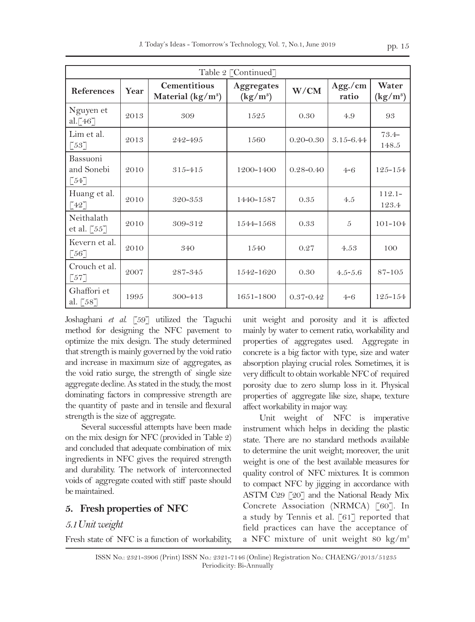| ×<br>۰. |  |
|---------|--|
|---------|--|

| Table 2 [Continued]                                                     |      |                                    |                          |               |                  |                     |
|-------------------------------------------------------------------------|------|------------------------------------|--------------------------|---------------|------------------|---------------------|
| References                                                              | Year | Cementitious<br>Material $(kg/m3)$ | Aggregates<br>$(kg/m^3)$ | W/CM          | Agg./cm<br>ratio | Water<br>$(kg/m^3)$ |
| Nguyen et<br>al. $[46]$                                                 | 2013 | 309                                | 1525                     | 0.30          | 4.9              | 93                  |
| Lim et al.<br>[53]                                                      | 2013 | 242-495                            | 1560                     | $0.20 - 0.30$ | $3.15 - 6.44$    | $73.4-$<br>148.5    |
| Bassuoni<br>and Sonebi<br>$\left[\begin{matrix} 54 \end{matrix}\right]$ | 2010 | 315-415                            | 1200-1400                | $0.28 - 0.40$ | $4 - 6$          | $125 - 154$         |
| Huang et al.<br>[42]                                                    | 2010 | 320-353                            | 1440-1587                | 0.35          | 4.5              | $112.1 -$<br>123.4  |
| Neithalath<br>et al. $\lceil 55 \rceil$                                 | 2010 | 309-312                            | 1544-1568                | 0.33          | 5                | $101 - 104$         |
| Kevern et al.<br>$\lceil 56 \rceil$                                     | 2010 | 340                                | 1540                     | 0.27          | 4.53             | 100                 |
| Crouch et al.<br>$\begin{bmatrix} 57 \end{bmatrix}$                     | 2007 | 287-345                            | 1542-1620                | 0.30          | $4.5 - 5.6$      | $87 - 105$          |
| Ghaffori et<br>al. $[58]$                                               | 1995 | 300-413                            | 1651-1800                | $0.37 - 0.42$ | $4 - 6$          | $125 - 154$         |

Joshaghani *et al*. [59] utilized the Taguchi method for designing the NFC pavement to optimize the mix design. The study determined that strength is mainly governed by the void ratio and increase in maximum size of aggregates, as the void ratio surge, the strength of single size aggregate decline. As stated in the study, the most dominating factors in compressive strength are the quantity of paste and in tensile and flexural strength is the size of aggregate.

Several successful attempts have been made on the mix design for NFC (provided in Table 2) and concluded that adequate combination of mix ingredients in NFC gives the required strength and durability. The network of interconnected voids of aggregate coated with stiff paste should be maintained.

### **5. Fresh properties of NFC**

### *5.1Unit weight*

Fresh state of NFC is a function of workability,

unit weight and porosity and it is affected mainly by water to cement ratio, workability and properties of aggregates used. Aggregate in concrete is a big factor with type, size and water absorption playing crucial roles. Sometimes, it is very difficult to obtain workable NFC of required porosity due to zero slump loss in it. Physical properties of aggregate like size, shape, texture affect workability in major way.

Unit weight of NFC is imperative instrument which helps in deciding the plastic state. There are no standard methods available to determine the unit weight; moreover, the unit weight is one of the best available measures for quality control of NFC mixtures. It is common to compact NFC by jigging in accordance with ASTM C29 [20] and the National Ready Mix Concrete Association (NRMCA) [60]. In a study by Tennis et al. [61] reported that field practices can have the acceptance of a NFC mixture of unit weight 80 kg/m3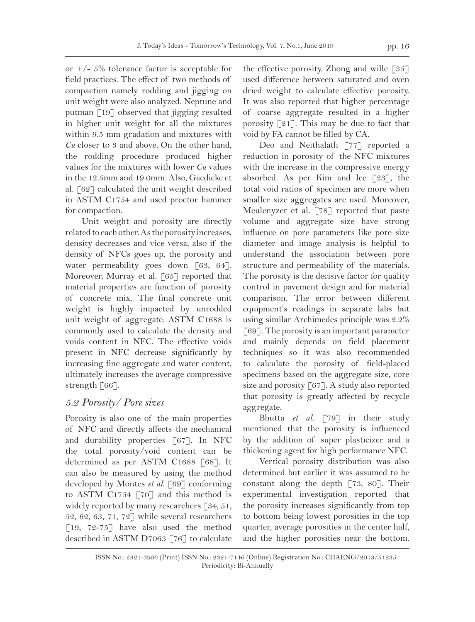or  $+\prime$ - 5% tolerance factor is acceptable for field practices. The effect of two methods of compaction namely rodding and jigging on unit weight were also analyzed. Neptune and putman [19] observed that jigging resulted in higher unit weight for all the mixtures within 9.5 mm gradation and mixtures with *Cu* closer to 3 and above*.* On the other hand, the rodding procedure produced higher values for the mixtures with lower *Cu* values in the 12.5mm and 19.0mm. Also, Gaedicke et al. [62] calculated the unit weight described in ASTM C1754 and used proctor hammer for compaction.

Unit weight and porosity are directly related to each other. As the porosity increases, density decreases and vice versa, also if the density of NFCs goes up, the porosity and water permeability goes down [63, 64]. Moreover, Murray et al. [65] reported that material properties are function of porosity of concrete mix. The final concrete unit weight is highly impacted by unrodded unit weight of aggregate. ASTM C1688 is commonly used to calculate the density and voids content in NFC. The effective voids present in NFC decrease significantly by increasing fine aggregate and water content, ultimately increases the average compressive strength [66].

### *5.2 Porosity/ Pore sizes*

Porosity is also one of the main properties of NFC and directly affects the mechanical and durability properties [67]. In NFC the total porosity/void content can be determined as per ASTM C1688 [68]. It can also be measured by using the method developed by Montes *et al*. [69] conforming to ASTM C1754 [70] and this method is widely reported by many researchers [34, 51, 52, 62, 63, 71, 72] while several researchers [19, 72-75] have also used the method described in ASTM D7063 [76] to calculate

the effective porosity. Zhong and wille [35] used difference between saturated and oven dried weight to calculate effective porosity. It was also reported that higher percentage of coarse aggregate resulted in a higher porosity [21]. This may be due to fact that void by FA cannot be filled by CA.

Deo and Neithalath [77] reported a reduction in porosity of the NFC mixtures with the increase in the compressive energy absorbed. As per Kim and lee [23], the total void ratios of specimen are more when smaller size aggregates are used. Moreover, Meulenyzer et al. [78] reported that paste volume and aggregate size have strong influence on pore parameters like pore size diameter and image analysis is helpful to understand the association between pore structure and permeability of the materials. The porosity is the decisive factor for quality control in pavement design and for material comparison. The error between different equipment's readings in separate labs but using similar Archimedes principle was 2.2%  $[69]$ . The porosity is an important parameter and mainly depends on field placement techniques so it was also recommended to calculate the porosity of field-placed specimens based on the aggregate size, core size and porosity [67]. A study also reported that porosity is greatly affected by recycle aggregate.

Bhutta *et al.* [79] in their study mentioned that the porosity is influenced by the addition of super plasticizer and a thickening agent for high performance NFC.

Vertical porosity distribution was also determined but earlier it was assumed to be constant along the depth [73, 80]. Their experimental investigation reported that the porosity increases significantly from top to bottom being lowest porosities in the top quarter, average porosities in the center half, and the higher porosities near the bottom.

ISSN No.: 2321-3906 (Print) ISSN No.: 2321-7146 (Online) Registration No.: CHAENG/2013/51235 Periodicity: Bi-Annually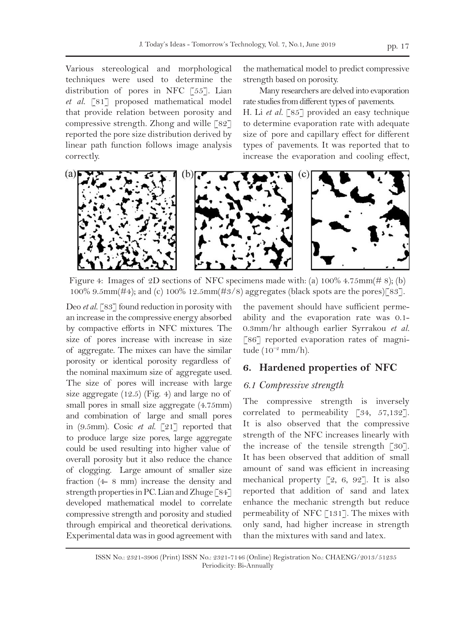Various stereological and morphological techniques were used to determine the distribution of pores in NFC [55]. Lian *et al.* [81] proposed mathematical model that provide relation between porosity and compressive strength. Zhong and wille [82] reported the pore size distribution derived by linear path function follows image analysis correctly.

the mathematical model to predict compressive strength based on porosity.

Many researchers are delved into evaporation rate studies from different types of pavements. H. Li *et al.* [85] provided an easy technique to determine evaporation rate with adequate size of pore and capillary effect for different types of pavements. It was reported that to increase the evaporation and cooling effect,



Figure 4: Images of 2D sections of NFC specimens made with: (a)  $100\%$  4.75mm(# 8); (b) 100% 9.5mm(#4); and (c) 100% 12.5mm(#3/8) aggregates (black spots are the pores)[83].

Deo *et al.* [83] found reduction in porosity with an increase in the compressive energy absorbed by compactive efforts in NFC mixtures. The size of pores increase with increase in size of aggregate. The mixes can have the similar porosity or identical porosity regardless of the nominal maximum size of aggregate used. The size of pores will increase with large size aggregate (12.5) (Fig. 4) and large no of small pores in small size aggregate (4.75mm) and combination of large and small pores in (9.5mm). Cosic *et al.* [21] reported that to produce large size pores, large aggregate could be used resulting into higher value of overall porosity but it also reduce the chance of clogging. Large amount of smaller size fraction (4- 8 mm) increase the density and strength properties in PC. Lian and Zhuge [84] developed mathematical model to correlate compressive strength and porosity and studied through empirical and theoretical derivations. Experimental data was in good agreement with

the pavement should have sufficient permeability and the evaporation rate was 0.1- 0.3mm/hr although earlier Syrrakou *et al.* [86] reported evaporation rates of magnitude (10<sup>−</sup><sup>2</sup> mm/h).

## **6. Hardened properties of NFC**

#### *6.1 Compressive strength*

The compressive strength is inversely correlated to permeability [34, 57,132]. It is also observed that the compressive strength of the NFC increases linearly with the increase of the tensile strength [30]. It has been observed that addition of small amount of sand was efficient in increasing mechanical property  $\lceil 2, 6, 92 \rceil$ . It is also reported that addition of sand and latex enhance the mechanic strength but reduce permeability of NFC [131]. The mixes with only sand, had higher increase in strength than the mixtures with sand and latex.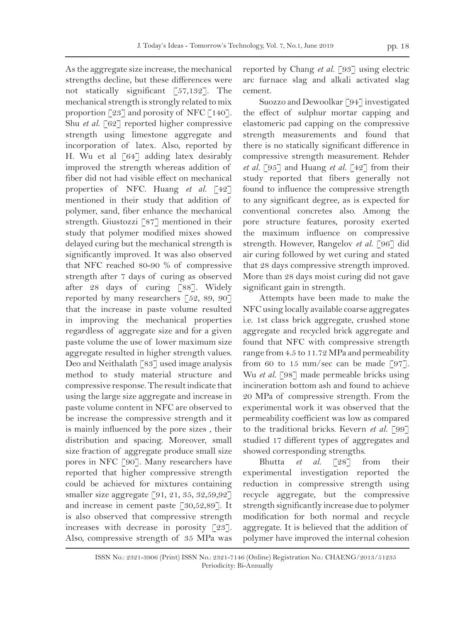As the aggregate size increase, the mechanical strengths decline, but these differences were not statically significant [57,132]. The mechanical strength is strongly related to mix proportion  $\lceil 23 \rceil$  and porosity of NFC  $\lceil 140 \rceil$ . Shu *et al.* [62] reported higher compressive strength using limestone aggregate and incorporation of latex. Also, reported by H. Wu et al [64] adding latex desirably improved the strength whereas addition of fiber did not had visible effect on mechanical properties of NFC. Huang *et al.* [42] mentioned in their study that addition of polymer, sand, fiber enhance the mechanical strength. Giustozzi [87] mentioned in their study that polymer modified mixes showed delayed curing but the mechanical strength is significantly improved. It was also observed that NFC reached 80-90 % of compressive strength after 7 days of curing as observed after 28 days of curing [88]. Widely reported by many researchers [52, 89, 90] that the increase in paste volume resulted in improving the mechanical properties regardless of aggregate size and for a given paste volume the use of lower maximum size aggregate resulted in higher strength values. Deo and Neithalath  $\lceil 83 \rceil$  used image analysis method to study material structure and compressive response. The result indicate that using the large size aggregate and increase in paste volume content in NFC are observed to be increase the compressive strength and it is mainly influenced by the pore sizes , their distribution and spacing. Moreover, small size fraction of aggregate produce small size pores in NFC [90]. Many researchers have reported that higher compressive strength could be achieved for mixtures containing smaller size aggregate [91, 21, 35, 32,59,92] and increase in cement paste [30,52,89]. It is also observed that compressive strength increases with decrease in porosity [23]. Also, compressive strength of 35 MPa was

reported by Chang *et al.* [93] using electric arc furnace slag and alkali activated slag cement.

Suozzo and Dewoolkar [94] investigated the effect of sulphur mortar capping and elastomeric pad capping on the compressive strength measurements and found that there is no statically significant difference in compressive strength measurement. Rehder *et al.* [95] and Huang *et al.* [42] from their study reported that fibers generally not found to influence the compressive strength to any significant degree, as is expected for conventional concretes also. Among the pore structure features, porosity exerted the maximum influence on compressive strength. However, Rangelov *et al.* [96] did air curing followed by wet curing and stated that 28 days compressive strength improved. More than 28 days moist curing did not gave significant gain in strength.

Attempts have been made to make the NFC using locally available coarse aggregates i.e. 1st class brick aggregate, crushed stone aggregate and recycled brick aggregate and found that NFC with compressive strength range from 4.5 to 11.72 MPa and permeability from 60 to 15 mm/sec can be made  $\lceil 97 \rceil$ . Wu *et al.* [98] made permeable bricks using incineration bottom ash and found to achieve 20 MPa of compressive strength. From the experimental work it was observed that the permeability coefficient was low as compared to the traditional bricks. Kevern *et al.* [99] studied 17 different types of aggregates and showed corresponding strengths.

Bhutta *et al.* [28] from their experimental investigation reported the reduction in compressive strength using recycle aggregate, but the compressive strength significantly increase due to polymer modification for both normal and recycle aggregate. It is believed that the addition of polymer have improved the internal cohesion

ISSN No.: 2321-3906 (Print) ISSN No.: 2321-7146 (Online) Registration No.: CHAENG/2013/51235 Periodicity: Bi-Annually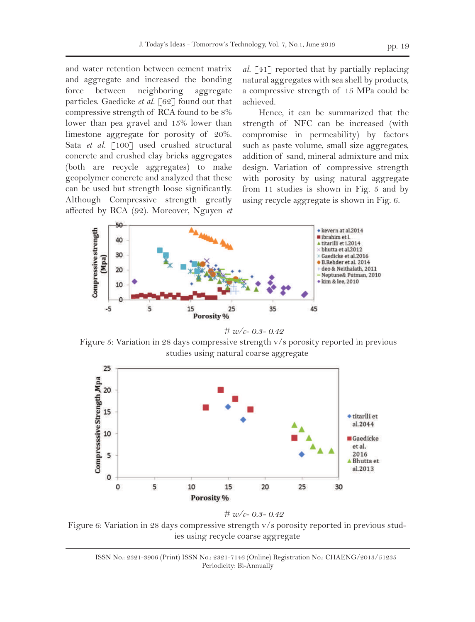and water retention between cement matrix and aggregate and increased the bonding force between neighboring aggregate particles. Gaedicke *et al.* [62] found out that compressive strength of RCA found to be 8% lower than pea gravel and 15% lower than limestone aggregate for porosity of 20%. Sata *et al.* [100] used crushed structural concrete and crushed clay bricks aggregates (both are recycle aggregates) to make geopolymer concrete and analyzed that these can be used but strength loose significantly. Although Compressive strength greatly affected by RCA (92). Moreover, Nguyen *et*  *al.* [41] reported that by partially replacing natural aggregates with sea shell by products, a compressive strength of 15 MPa could be achieved.

Hence, it can be summarized that the strength of NFC can be increased (with compromise in permeability) by factors such as paste volume, small size aggregates, addition of sand, mineral admixture and mix design. Variation of compressive strength with porosity by using natural aggregate from 11 studies is shown in Fig. 5 and by using recycle aggregate is shown in Fig. 6.



*# w/c- 0.3- 0.42*

 Figure 5: Variation in 28 days compressive strength v/s porosity reported in previous studies using natural coarse aggregate





Figure 6: Variation in 28 days compressive strength v/s porosity reported in previous studies using recycle coarse aggregate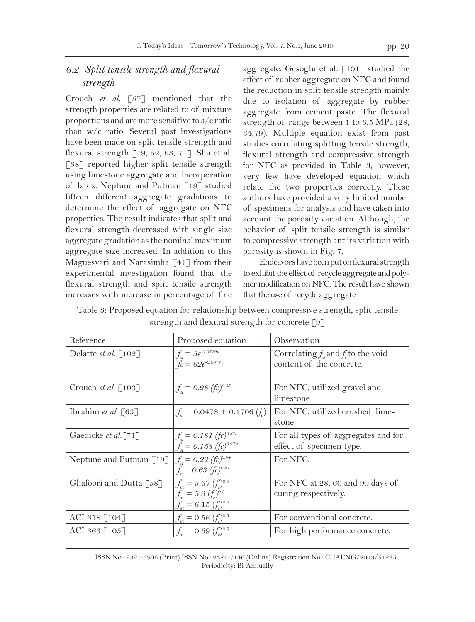## *6.2 Split tensile strength and flexural strength*

Crouch *et al.* [57] mentioned that the strength properties are related to of mixture proportions and are more sensitive to a/c ratio than w/c ratio. Several past investigations have been made on split tensile strength and flexural strength  $[19, 52, 63, 71]$ . Shu et al. [38] reported higher split tensile strength using limestone aggregate and incorporation of latex. Neptune and Putman [19] studied fifteen different aggregate gradations to determine the effect of aggregate on NFC properties. The result indicates that split and flexural strength decreased with single size aggregate gradation as the nominal maximum aggregate size increased. In addition to this Maguesvari and Narasimha [44] from their experimental investigation found that the flexural strength and split tensile strength increases with increase in percentage of fine

aggregate. Gesoglu et al. [101] studied the effect of rubber aggregate on NFC and found the reduction in split tensile strength mainly due to isolation of aggregate by rubber aggregate from cement paste. The flexural strength of range between 1 to 3.5 MPa (28, 34,79). Multiple equation exist from past studies correlating splitting tensile strength, flexural strength and compressive strength for NFC as provided in Table 3; however, very few have developed equation which relate the two properties correctly. These authors have provided a very limited number of specimens for analysis and have taken into account the porosity variation. Although, the behavior of split tensile strength is similar to compressive strength ant its variation with porosity is shown in Fig. 7.

Endeavors have been put on flexural strength to exhibit the effect of recycle aggregate and polymer modification on NFC. The result have shown that the use of recycle aggregate

Table 3: Proposed equation for relationship between compressive strength, split tensile strength and flexural strength for concrete [9]

| Reference                          | Proposed equation                                                                                                            | Observation                                                         |
|------------------------------------|------------------------------------------------------------------------------------------------------------------------------|---------------------------------------------------------------------|
| Delatte et al. $\lceil 102 \rceil$ | $\begin{cases} f_{st} = 5e^{-0.0522v} \\ fc = 62e^{-0.0677v} \end{cases}$                                                    | Correlating $f_a$ and $f_c$ to the void<br>content of the concrete. |
| Crouch et al. [103]                | $f_{\rm st} = 0.28~(f c)^{0.55}$                                                                                             | For NFC, utilized gravel and<br>limestone                           |
| Ibrahim et al. $\lceil 63 \rceil$  | $f_{\text{at}} = 0.0478 + 0.1706 \, (f_{\text{at}})$                                                                         | For NFC, utilized crushed lime-<br>stone                            |
| Gaedicke et al.[71]                | $f_{st} = 0.181 \text{ (fc)}^{0.875}$<br>$f_{\rm st} = 0.153~(f c)^{0.979}$                                                  | For all types of aggregates and for<br>effect of specimen type.     |
| Neptune and Putman [19]            | $f_{st} = 0.22~(fc)^{0.84}$<br>$f_r = 0.63~(fc)^{0.47}$                                                                      | For NFC.                                                            |
| Ghafoori and Dutta [58]            | $f_{\rm st} = 5.67 \; (f_{\rm s})^{0.5}$<br>$f_{\rm st} = 5.9 \; (f_{\rm c})^{0.5}$<br>$f_{\rm st} = 6.15 (f_{\rm c})^{0.5}$ | For NFC at 28, 60 and 90 days of<br>curing respectively.            |
| ACI 318 [104]                      | $f_{\rm st} = 0.56 (f_{\rm c})^{0.5}$                                                                                        | For conventional concrete.                                          |
| ACI 363 $[105]$                    | $f_{\rm st} = 0.59 \; (f_{\rm s})^{0.5}$                                                                                     | For high performance concrete.                                      |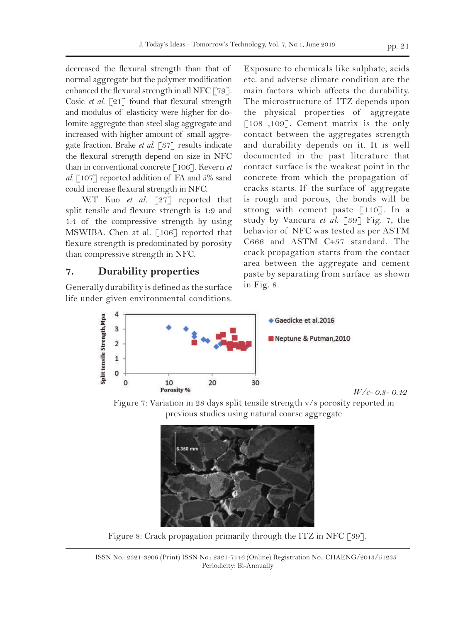decreased the flexural strength than that of normal aggregate but the polymer modification enhanced the flexural strength in all NFC [79]. Cosic *et al*. [21] found that flexural strength and modulus of elasticity were higher for dolomite aggregate than steel slag aggregate and increased with higher amount of small aggregate fraction. Brake *et al*. [37] results indicate the flexural strength depend on size in NFC than in conventional concrete [106]. Kevern *et al.* [107] reported addition of FA and 5% sand could increase flexural strength in NFC.

W.T Kuo *et al.* [27] reported that split tensile and flexure strength is 1:9 and 1:4 of the compressive strength by using MSWIBA. Chen at al. [106] reported that flexure strength is predominated by porosity than compressive strength in NFC.

## **7. Durability properties**

Generally durability is defined as the surface life under given environmental conditions. Exposure to chemicals like sulphate, acids etc. and adverse climate condition are the main factors which affects the durability. The microstructure of ITZ depends upon the physical properties of aggregate [ $108$ ,  $109$ ]. Cement matrix is the only contact between the aggregates strength and durability depends on it. It is well documented in the past literature that contact surface is the weakest point in the concrete from which the propagation of cracks starts. If the surface of aggregate is rough and porous, the bonds will be strong with cement paste [110]. In a study by Vancura *et al*. [39] Fig. 7, the behavior of NFC was tested as per ASTM C666 and ASTM C457 standard. The crack propagation starts from the contact area between the aggregate and cement paste by separating from surface as shown in Fig. 8.





*W/c- 0.3- 0.42*





Figure 8: Crack propagation primarily through the ITZ in NFC [39].

ISSN No.: 2321-3906 (Print) ISSN No.: 2321-7146 (Online) Registration No.: CHAENG/2013/51235 Periodicity: Bi-Annually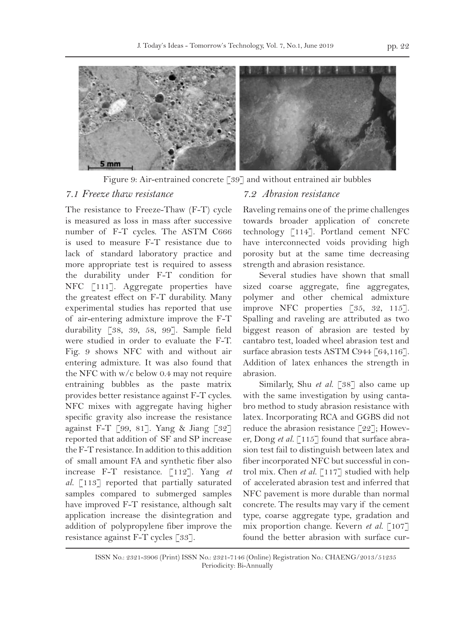



Figure 9: Air-entrained concrete [39] and without entrained air bubbles

### *7.1 Freeze thaw resistance*

The resistance to Freeze-Thaw (F-T) cycle is measured as loss in mass after successive number of F-T cycles. The ASTM C666 is used to measure F-T resistance due to lack of standard laboratory practice and more appropriate test is required to assess the durability under F-T condition for NFC [111]. Aggregate properties have the greatest effect on F-T durability. Many experimental studies has reported that use of air-entering admixture improve the F-T durability [38, 39, 58, 99]. Sample field were studied in order to evaluate the F-T. Fig. 9 shows NFC with and without air entering admixture. It was also found that the NFC with w/c below 0.4 may not require entraining bubbles as the paste matrix provides better resistance against F-T cycles. NFC mixes with aggregate having higher specific gravity also increase the resistance against F-T [99, 81]. Yang & Jiang [32] reported that addition of SF and SP increase the F-T resistance. In addition to this addition of small amount FA and synthetic fiber also increase F-T resistance. [112]. Yang *et al.* [113] reported that partially saturated samples compared to submerged samples have improved F-T resistance, although salt application increase the disintegration and addition of polypropylene fiber improve the resistance against F-T cycles [33].

#### *7.2 Abrasion resistance*

Raveling remains one of the prime challenges towards broader application of concrete technology [114]. Portland cement NFC have interconnected voids providing high porosity but at the same time decreasing strength and abrasion resistance.

Several studies have shown that small sized coarse aggregate, fine aggregates, polymer and other chemical admixture improve NFC properties [35, 32, 115]. Spalling and raveling are attributed as two biggest reason of abrasion are tested by cantabro test, loaded wheel abrasion test and surface abrasion tests ASTM C944 [64,116]. Addition of latex enhances the strength in abrasion.

Similarly, Shu *et al.* [38] also came up with the same investigation by using cantabro method to study abrasion resistance with latex. Incorporating RCA and GGBS did not reduce the abrasion resistance [22]; However, Dong *et al.* [115] found that surface abrasion test fail to distinguish between latex and fiber incorporated NFC but successful in control mix. Chen *et al.* [117] studied with help of accelerated abrasion test and inferred that NFC pavement is more durable than normal concrete. The results may vary if the cement type, coarse aggregate type, gradation and mix proportion change. Kevern *et al.* [107] found the better abrasion with surface cur-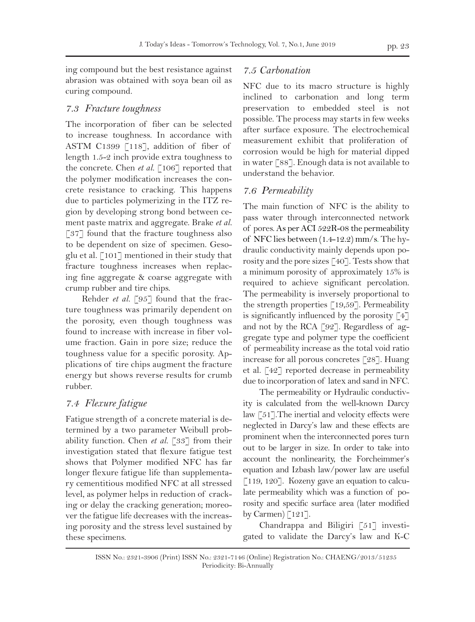ing compound but the best resistance against abrasion was obtained with soya bean oil as curing compound.

#### *7.3 Fracture toughness*

The incorporation of fiber can be selected to increase toughness. In accordance with ASTM C1399 [118], addition of fiber of length 1.5-2 inch provide extra toughness to the concrete. Chen *et al.* [106] reported that the polymer modification increases the concrete resistance to cracking. This happens due to particles polymerizing in the ITZ region by developing strong bond between cement paste matrix and aggregate. Brake *et al.*   $\lceil 37 \rceil$  found that the fracture toughness also to be dependent on size of specimen. Gesoglu et al. [101] mentioned in their study that fracture toughness increases when replacing fine aggregate & coarse aggregate with crump rubber and tire chips.

Rehder *et al.* [95] found that the fracture toughness was primarily dependent on the porosity, even though toughness was found to increase with increase in fiber volume fraction. Gain in pore size; reduce the toughness value for a specific porosity. Applications of tire chips augment the fracture energy but shows reverse results for crumb rubber.

## *7.4 Flexure fatigue*

Fatigue strength of a concrete material is determined by a two parameter Weibull probability function. Chen *et al.* [33] from their investigation stated that flexure fatigue test shows that Polymer modified NFC has far longer flexure fatigue life than supplementary cementitious modified NFC at all stressed level, as polymer helps in reduction of cracking or delay the cracking generation; moreover the fatigue life decreases with the increasing porosity and the stress level sustained by these specimens.

### *7.5 Carbonation*

NFC due to its macro structure is highly inclined to carbonation and long term preservation to embedded steel is not possible. The process may starts in few weeks after surface exposure. The electrochemical measurement exhibit that proliferation of corrosion would be high for material dipped in water [88]. Enough data is not available to understand the behavior.

#### *7.6 Permeability*

The main function of NFC is the ability to pass water through interconnected network of pores. As per ACI 522R-08 the permeability of NFC lies between (1.4-12.2) mm/s. The hydraulic conductivity mainly depends upon porosity and the pore sizes [40]. Tests show that a minimum porosity of approximately 15% is required to achieve significant percolation. The permeability is inversely proportional to the strength properties [19,59]. Permeability is significantly influenced by the porosity  $[4]$ and not by the RCA [92]. Regardless of aggregate type and polymer type the coefficient of permeability increase as the total void ratio increase for all porous concretes [28]. Huang et al. [42] reported decrease in permeability due to incorporation of latex and sand in NFC.

The permeability or Hydraulic conductivity is calculated from the well-known Darcy law [51].The inertial and velocity effects were neglected in Darcy's law and these effects are prominent when the interconnected pores turn out to be larger in size. In order to take into account the nonlinearity, the Forcheimmer's equation and Izbash law/power law are useful [119, 120]. Kozeny gave an equation to calculate permeability which was a function of porosity and specific surface area (later modified by Carmen)  $\lceil 121 \rceil$ .

Chandrappa and Biligiri [51] investigated to validate the Darcy's law and K-C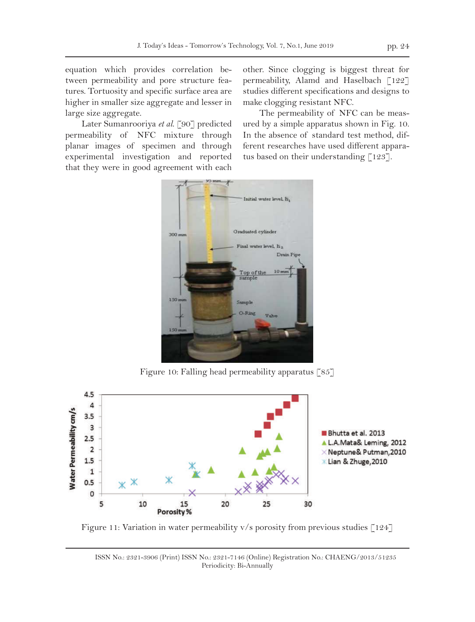equation which provides correlation between permeability and pore structure features. Tortuosity and specific surface area are higher in smaller size aggregate and lesser in large size aggregate.

Later Sumanrooriya *et al*. [90] predicted permeability of NFC mixture through planar images of specimen and through experimental investigation and reported that they were in good agreement with each other. Since clogging is biggest threat for permeability, Alamd and Haselbach [122] studies different specifications and designs to make clogging resistant NFC.

The permeability of NFC can be measured by a simple apparatus shown in Fig. 10. In the absence of standard test method, different researches have used different apparatus based on their understanding [123].



Figure 10: Falling head permeability apparatus  $\lceil 85 \rceil$ 



Figure 11: Variation in water permeability  $v/s$  porosity from previous studies [124]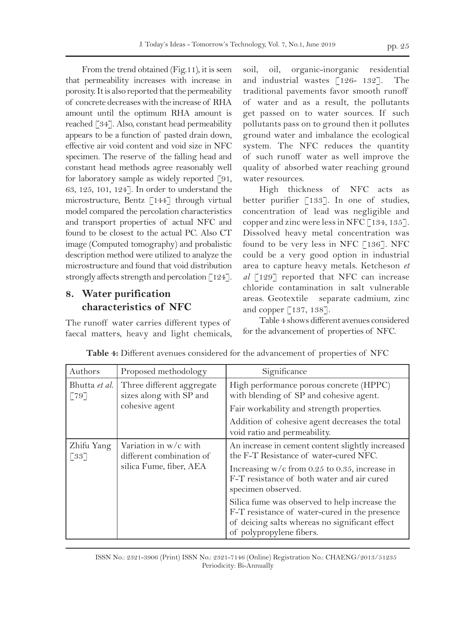From the trend obtained (Fig.11), it is seen that permeability increases with increase in porosity. It is also reported that the permeability of concrete decreases with the increase of RHA amount until the optimum RHA amount is reached [34]. Also, constant head permeability appears to be a function of pasted drain down, effective air void content and void size in NFC specimen. The reserve of the falling head and constant head methods agree reasonably well for laboratory sample as widely reported [91, 63, 125, 101, 124]. In order to understand the microstructure, Bentz [144] through virtual model compared the percolation characteristics and transport properties of actual NFC and found to be closest to the actual PC. Also CT image (Computed tomography) and probalistic description method were utilized to analyze the microstructure and found that void distribution strongly affects strength and percolation [124].

## **8. Water purification characteristics of NFC**

The runoff water carries different types of faecal matters, heavy and light chemicals, soil, oil, organic-inorganic residential and industrial wastes [126- 132]. The traditional pavements favor smooth runoff of water and as a result, the pollutants get passed on to water sources. If such pollutants pass on to ground then it pollutes ground water and imbalance the ecological system. The NFC reduces the quantity of such runoff water as well improve the quality of absorbed water reaching ground water resources.

High thickness of NFC acts as better purifier [133]. In one of studies, concentration of lead was negligible and copper and zinc were less in NFC [134, 135]. Dissolved heavy metal concentration was found to be very less in NFC [136]. NFC could be a very good option in industrial area to capture heavy metals. Ketcheson *et al* [129] reported that NFC can increase chloride contamination in salt vulnerable areas. Geotextile separate cadmium, zinc and copper [137, 138].

Table 4 shows different avenues considered for the advancement of properties of NFC.

| Authors                                          | Proposed methodology                                                 | Significance                                                                                                                                     |
|--------------------------------------------------|----------------------------------------------------------------------|--------------------------------------------------------------------------------------------------------------------------------------------------|
| [79]                                             | Bhutta et al.   Three different aggregate<br>sizes along with SP and | High performance porous concrete (HPPC)<br>with blending of SP and cohesive agent.                                                               |
|                                                  | cohesive agent                                                       | Fair workability and strength properties.                                                                                                        |
|                                                  |                                                                      | Addition of cohesive agent decreases the total<br>void ratio and permeability.                                                                   |
| Zhifu Yang<br>$\begin{bmatrix} 33 \end{bmatrix}$ | Variation in w/c with<br>different combination of                    | An increase in cement content slightly increased<br>the F-T Resistance of water-cured NFC.                                                       |
|                                                  | silica Fume, fiber, AEA                                              | Increasing $w/c$ from 0.25 to 0.35, increase in<br>F-T resistance of both water and air cured<br>specimen observed.                              |
|                                                  |                                                                      | Silica fume was observed to help increase the<br>F-T resistance of water-cured in the presence<br>of deicing salts whereas no significant effect |
|                                                  |                                                                      | of polypropylene fibers.                                                                                                                         |

| Table 4: Different avenues considered for the advancement of properties of NFC |
|--------------------------------------------------------------------------------|
|--------------------------------------------------------------------------------|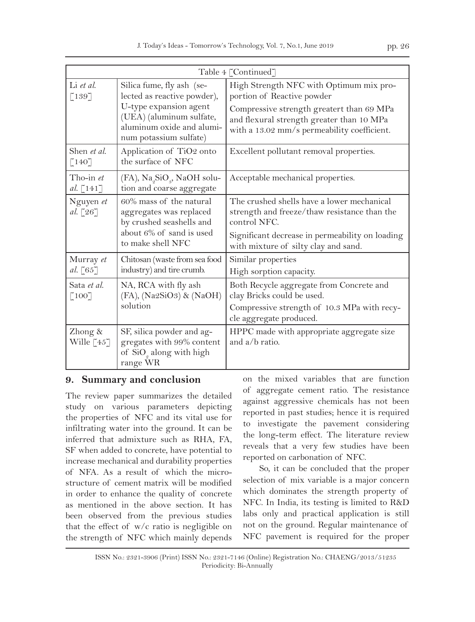|                                      | Table 4 [Continued]                                                                                                                         |                                                                                                                                                                                                                |  |  |  |
|--------------------------------------|---------------------------------------------------------------------------------------------------------------------------------------------|----------------------------------------------------------------------------------------------------------------------------------------------------------------------------------------------------------------|--|--|--|
| Li et al.<br>[139]                   | Silica fume, fly ash (se-<br>lected as reactive powder),<br>U-type expansion agent<br>(UEA) (aluminum sulfate,<br>aluminum oxide and alumi- | High Strength NFC with Optimum mix pro-<br>portion of Reactive powder<br>Compressive strength greatert than 69 MPa<br>and flexural strength greater than 10 MPa<br>with a 13.02 mm/s permeability coefficient. |  |  |  |
| Shen <i>et al.</i><br>[140]          | num potassium sulfate)<br>Application of TiO2 onto<br>the surface of NFC                                                                    | Excellent pollutant removal properties.                                                                                                                                                                        |  |  |  |
| Tho-in et<br>al. $\lceil 141 \rceil$ | (FA), Na <sub>2</sub> SiO <sub>3</sub> , NaOH solu-<br>tion and coarse aggregate                                                            | Acceptable mechanical properties.                                                                                                                                                                              |  |  |  |
| Nguyen et<br>al. $[26]$              | 60% mass of the natural<br>aggregates was replaced<br>by crushed seashells and<br>about $6\%$ of sand is used<br>to make shell NFC          | The crushed shells have a lower mechanical<br>strength and freeze/thaw resistance than the<br>control NFC.<br>Significant decrease in permeability on loading<br>with mixture of silty clay and sand.          |  |  |  |
| Murray et<br>al. $[65]$              | Chitosan (waste from sea food<br>industry) and tire crumb.                                                                                  | Similar properties<br>High sorption capacity.                                                                                                                                                                  |  |  |  |
| Sata et al.<br>[100]                 | NA, RCA with fly ash<br>$(FA)$ , (Na2SiO3) & (NaOH)<br>solution                                                                             | Both Recycle aggregate from Concrete and<br>clay Bricks could be used.<br>Compressive strength of 10.3 MPa with recy-<br>cle aggregate produced.                                                               |  |  |  |
| Zhong &<br>Wille $[45]$              | SF, silica powder and ag-<br>gregates with 99% content<br>of SiO <sub>o</sub> along with high<br>range WR                                   | HPPC made with appropriate aggregate size<br>and a/b ratio.                                                                                                                                                    |  |  |  |

## **9. Summary and conclusion**

The review paper summarizes the detailed study on various parameters depicting the properties of NFC and its vital use for infiltrating water into the ground. It can be inferred that admixture such as RHA, FA, SF when added to concrete, have potential to increase mechanical and durability properties of NFA. As a result of which the microstructure of cement matrix will be modified in order to enhance the quality of concrete as mentioned in the above section. It has been observed from the previous studies that the effect of w/c ratio is negligible on the strength of NFC which mainly depends on the mixed variables that are function of aggregate cement ratio. The resistance against aggressive chemicals has not been reported in past studies; hence it is required to investigate the pavement considering the long-term effect. The literature review reveals that a very few studies have been reported on carbonation of NFC.

So, it can be concluded that the proper selection of mix variable is a major concern which dominates the strength property of NFC. In India, its testing is limited to R&D labs only and practical application is still not on the ground. Regular maintenance of NFC pavement is required for the proper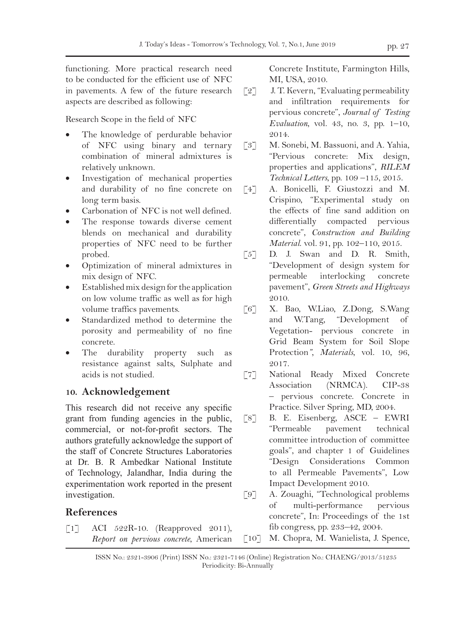functioning. More practical research need to be conducted for the efficient use of NFC in pavements. A few of the future research aspects are described as following:

Research Scope in the field of NFC

- The knowledge of perdurable behavior of NFC using binary and ternary combination of mineral admixtures is relatively unknown.
- Investigation of mechanical properties and durability of no fine concrete on long term basis.
- Carbonation of NFC is not well defined.
- The response towards diverse cement blends on mechanical and durability properties of NFC need to be further probed.
- Optimization of mineral admixtures in mix design of NFC.
- Established mix design for the application on low volume traffic as well as for high volume traffics pavements.
- • Standardized method to determine the porosity and permeability of no fine concrete.
- The durability property such as resistance against salts, Sulphate and acids is not studied.

### **10. Acknowledgement**

This research did not receive any specific grant from funding agencies in the public, commercial, or not-for-profit sectors. The authors gratefully acknowledge the support of the staff of Concrete Structures Laboratories at Dr. B. R Ambedkar National Institute of Technology, Jalandhar, India during the experimentation work reported in the present investigation.

## **References**

[1] ACI 522R-10. (Reapproved 2011), *Report on pervious concrete*, American Concrete Institute, Farmington Hills, MI, USA, 2010.

- [2] J. T. Kevern, "Evaluating permeability and infiltration requirements for pervious concrete", *Journal of Testing Evaluation*, vol. 43, no. 3, pp. 1–10, 2014.
- [3] M. Sonebi, M. Bassuoni, and A. Yahia, "Pervious concrete: Mix design, properties and applications", *RILEM Technical Letters*, pp. 109 –115, 2015.
- [4] A. Bonicelli, F. Giustozzi and M. Crispino, "Experimental study on the effects of fine sand addition on differentially compacted pervious concrete", *Construction and Building Material*. vol. 91, pp. 102–110, 2015.
- [5] D. J. Swan and D. R. Smith, "Development of design system for permeable interlocking concrete pavement", *Green Streets and Highways* 2010.
- [6] X. Bao, W.Liao, Z.Dong, S.Wang and W.Tang, "Development of Vegetation- pervious concrete in Grid Beam System for Soil Slope Protection*", Materials*, vol. 10, 96, 2017.
- [7] National Ready Mixed Concrete Association (NRMCA). CIP-38 – pervious concrete. Concrete in Practice. Silver Spring, MD, 2004.
- [8] B. E. Eisenberg, ASCE EWRI "Permeable pavement technical committee introduction of committee goals", and chapter 1 of Guidelines "Design Considerations Common to all Permeable Pavements", Low Impact Development 2010.
- [9] A. Zouaghi, "Technological problems of multi-performance pervious concrete", In: Proceedings of the 1st fib congress, pp. 233–42, 2004.
- [10] M. Chopra, M. Wanielista, J. Spence,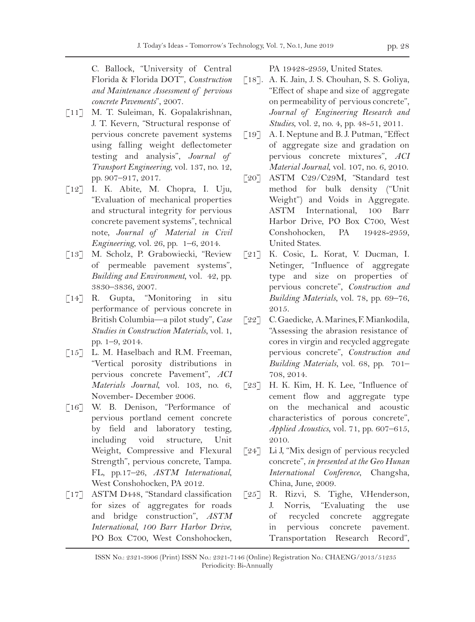C. Ballock, "University of Central Florida & Florida DOT", *Construction and Maintenance Assessment of pervious concrete Pavements*", 2007.

- [11] M. T. Suleiman, K. Gopalakrishnan, J. T. Kevern, "Structural response of pervious concrete pavement systems using falling weight deflectometer testing and analysis", *Journal of Transport Engineering*, vol. 137, no. 12, pp. 907–917, 2017.
- [12] I. K. Abite, M. Chopra, I. Uju, "Evaluation of mechanical properties and structural integrity for pervious concrete pavement systems", technical note, *Journal of Material in Civil Engineering*, vol. 26, pp. 1–6, 2014.
- [13] M. Scholz, P. Grabowiecki, "Review of permeable pavement systems", *Building and Environment,* vol. 42, pp. 3830–3836, 2007.
- [14] R. Gupta, "Monitoring in situ performance of pervious concrete in British Columbia—a pilot study", *Case Studies in Construction Materials,* vol. 1, pp. 1–9, 2014.
- [15] L. M. Haselbach and R.M. Freeman, "Vertical porosity distributions in pervious concrete Pavement", *ACI Materials Journal*, vol. 103, no. 6, November- December 2006.
- [16] W. B. Denison, "Performance of pervious portland cement concrete by field and laboratory testing, including void structure, Unit Weight, Compressive and Flexural Strength", pervious concrete, Tampa. FL, pp.17–26, *ASTM International*, West Conshohocken, PA 2012.
- [17] ASTM D448, "Standard classification for sizes of aggregates for roads and bridge construction", *ASTM International, 100 Barr Harbor Drive*, PO Box C700, West Conshohocken,

PA 19428-2959, United States.

- [18]. A. K. Jain, J. S. Chouhan, S. S. Goliya, "Effect of shape and size of aggregate on permeability of pervious concrete", *Journal of Engineering Research and Studies*, vol. 2, no. 4, pp. 48-51, 2011.
- [19] A. I. Neptune and B. J. Putman, "Effect of aggregate size and gradation on pervious concrete mixtures", *ACI Material Journal*, vol. 107, no. 6, 2010.
- [20] ASTM C29/C29M, "Standard test method for bulk density ("Unit Weight") and Voids in Aggregate. ASTM International, 100 Barr Harbor Drive, PO Box C700, West Conshohocken, PA 19428-2959, United States.
- [21] K. Cosic, L. Korat, V. Ducman, I. Netinger, "Influence of aggregate type and size on properties of pervious concrete", *Construction and Building Materials,* vol. 78, pp. 69–76, 2015.
- [22] C. Gaedicke, A. Marines, F. Miankodila, "Assessing the abrasion resistance of cores in virgin and recycled aggregate pervious concrete", *Construction and Building Materials,* vol. 68, pp. 701– 708, 2014.
- [23] H. K. Kim, H. K. Lee, "Influence of cement flow and aggregate type on the mechanical and acoustic characteristics of porous concrete", *Applied Acoustics,* vol. 71, pp. 607–615, 2010.
- [24] Li J, "Mix design of pervious recycled concrete", *in presented at the Geo Hunan International Conference*, Changsha, China, June, 2009.
- [25] R. Rizvi, S. Tighe, V.Henderson, J. Norris, "Evaluating the use of recycled concrete aggregate in pervious concrete pavement. Transportation Research Record",

ISSN No.: 2321-3906 (Print) ISSN No.: 2321-7146 (Online) Registration No.: CHAENG/2013/51235 Periodicity: Bi-Annually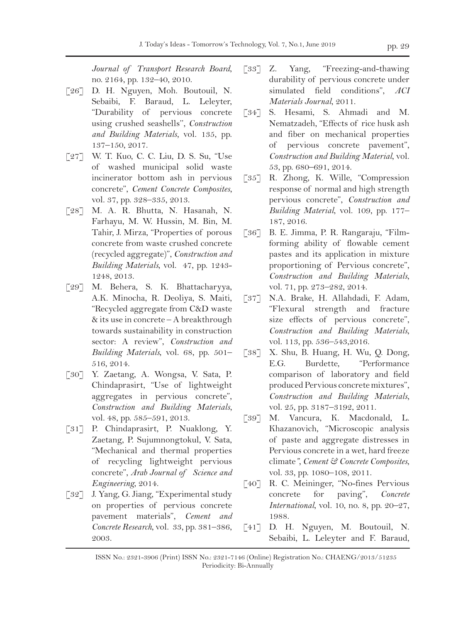*Journal of Transport Research Board*, no. 2164, pp. 132–40, 2010.

- [26] D. H. Nguyen, Moh. Boutouil, N. Sebaibi, F. Baraud, L. Leleyter, "Durability of pervious concrete using crushed seashells'', *Construction and Building Materials,* vol. 135, pp. 137–150, 2017.
- [27] W. T. Kuo, C. C. Liu, D. S. Su, "Use of washed municipal solid waste incinerator bottom ash in pervious concrete", *Cement Concrete Composites,* vol. 37, pp. 328–335, 2013.
- [28] M. A. R. Bhutta, N. Hasanah, N. Farhayu, M. W. Hussin, M. Bin, M. Tahir, J. Mirza, "Properties of porous concrete from waste crushed concrete (recycled aggregate)", *Construction and Building Materials*, vol. 47, pp. 1243- 1248, 2013.
- [29] M. Behera, S. K. Bhattacharyya, A.K. Minocha, R. Deoliya, S. Maiti, "Recycled aggregate from C&D waste & its use in concrete – A breakthrough towards sustainability in construction sector: A review", *Construction and Building Materials*, vol. 68, pp. 501– 516, 2014.
- [30] Y. Zaetang, A. Wongsa, V. Sata, P. Chindaprasirt, "Use of lightweight aggregates in pervious concrete", *Construction and Building Materials,* vol. 48, pp. 585–591, 2013.
- [31] P. Chindaprasirt, P. Nuaklong, Y. Zaetang, P. Sujumnongtokul, V. Sata, "Mechanical and thermal properties of recycling lightweight pervious concrete", *Arab Journal of Science and Engineering*, 2014.
- [32] J. Yang, G. Jiang, "Experimental study on properties of pervious concrete pavement materials", *Cement and Concrete Research*, vol. 33, pp. 381–386, 2003.
- [33] Z. Yang, "Freezing-and-thawing durability of pervious concrete under simulated field conditions", *ACI Materials Journal*, 2011.
- [34] S. Hesami, S. Ahmadi and M. Nematzadeh, "Effects of rice husk ash and fiber on mechanical properties of pervious concrete pavement", *Construction and Building Material*, vol. 53, pp. 680–691, 2014.
- [35] R. Zhong, K. Wille, "Compression response of normal and high strength pervious concrete", *Construction and Building Material*, vol. 109, pp. 177– 187, 2016.
- [36] B. E. Jimma, P. R. Rangaraju, "Filmforming ability of flowable cement pastes and its application in mixture proportioning of Pervious concrete", *Construction and Building Materials*, vol. 71, pp. 273–282, 2014.
- [37] N.A. Brake, H. Allahdadi, F. Adam, "Flexural strength and fracture size effects of pervious concrete", *Construction and Building Materials*, vol. 113, pp. 536–543,2016.
- [38] X. Shu, B. Huang, H. Wu, Q. Dong, E.G. Burdette, "Performance comparison of laboratory and field produced Pervious concrete mixtures", *Construction and Building Materials,*  vol. 25, pp. 3187–3192, 2011.
- [39] M. Vancura, K. Macdonald, L. Khazanovich, "Microscopic analysis of paste and aggregate distresses in Pervious concrete in a wet, hard freeze climate*", Cement & Concrete Composites*, vol. 33, pp. 1080–108, 2011.
- [40] R. C. Meininger, "No-fines Pervious concrete for paving", *Concrete International*, vol. 10, no. 8, pp. 20–27, 1988.
- [41] D. H. Nguyen, M. Boutouil, N. Sebaibi, L. Leleyter and F. Baraud,

ISSN No.: 2321-3906 (Print) ISSN No.: 2321-7146 (Online) Registration No.: CHAENG/2013/51235 Periodicity: Bi-Annually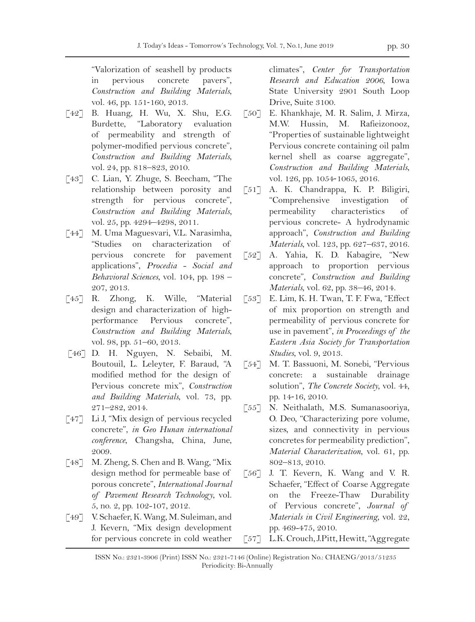"Valorization of seashell by products in pervious concrete pavers", *Construction and Building Materials*, vol. 46, pp. 151‐160, 2013.

- [42] B. Huang, H. Wu, X. Shu, E.G. Burdette, "Laboratory evaluation of permeability and strength of polymer-modified pervious concrete", *Construction and Building Materials*, vol. 24, pp. 818–823, 2010.
- [43] C. Lian, Y. Zhuge, S. Beecham, "The relationship between porosity and strength for pervious concrete", *Construction and Building Materials,* vol. 25, pp. 4294–4298, 2011.
- [44] M. Uma Maguesvari, V.L. Narasimha, "Studies on characterization of pervious concrete for pavement applications", *Procedia - Social and Behavioral Sciences*, vol. 104, pp. 198 – 207, 2013.
- [45] R. Zhong, K. Wille, "Material design and characterization of highperformance Pervious concrete", *Construction and Building Materials*, vol. 98, pp. 51–60, 2013.
- [46] D. H. Nguyen, N. Sebaibi, M. Boutouil, L. Leleyter, F. Baraud, "A modified method for the design of Pervious concrete mix", *Construction and Building Materials*, vol. 73, pp. 271–282, 2014.
- [47] Li J, "Mix design of pervious recycled concrete", *in Geo Hunan international conference*, Changsha, China, June, 2009.
- [48] M. Zheng, S. Chen and B. Wang, "Mix design method for permeable base of porous concrete", *International Journal of Pavement Research Technology*, vol. 5, no. 2, pp. 102-107, 2012.
- [49] V. Schaefer, K. Wang, M. Suleiman, and J. Kevern, "Mix design development for pervious concrete in cold weather

climates", *Center for Transportation Research and Education 2006*, Iowa State University 2901 South Loop Drive, Suite 3100.

- [50] E. Khankhaje, M. R. Salim, J. Mirza, M.W. Hussin, M. Rafieizonooz, "Properties of sustainable lightweight Pervious concrete containing oil palm kernel shell as coarse aggregate", *Construction and Building Materials*, vol. 126, pp. 1054‐1065, 2016.
- [51] A. K. Chandrappa, K. P. Biligiri, "Comprehensive investigation of permeability characteristics of pervious concrete- A hydrodynamic approach", *Construction and Building Materials*, vol. 123, pp. 627–637, 2016.
- [52] A. Yahia, K. D. Kabagire, "New approach to proportion pervious concrete", *Construction and Building Materials*, vol. 62, pp. 38–46, 2014.
- [53] E. Lim, K. H. Twan, T. F. Fwa, "Effect of mix proportion on strength and permeability of pervious concrete for use in pavement", *in Proceedings of the Eastern Asia Society for Transportation Studies*, vol. 9, 2013.
- [54] M. T. Bassuoni, M. Sonebi, "Pervious concrete: a sustainable drainage solution", *The Concrete Society*, vol. 44, pp. 14‐16, 2010.
- [55] N. Neithalath, M.S. Sumanasooriya, O. Deo, "Characterizing pore volume, sizes, and connectivity in pervious concretes for permeability prediction", *Material Characterization*, vol. 61, pp. 802–813, 2010.
- [56] J. T. Kevern, K. Wang and V. R. Schaefer, "Effect of Coarse Aggregate on the Freeze-Thaw Durability of Pervious concrete", *Journal of Materials in Civil Engineering*, vol. 22, pp. 469-475, 2010.
- [57] L.K. Crouch, J.Pitt, Hewitt, "Aggregate"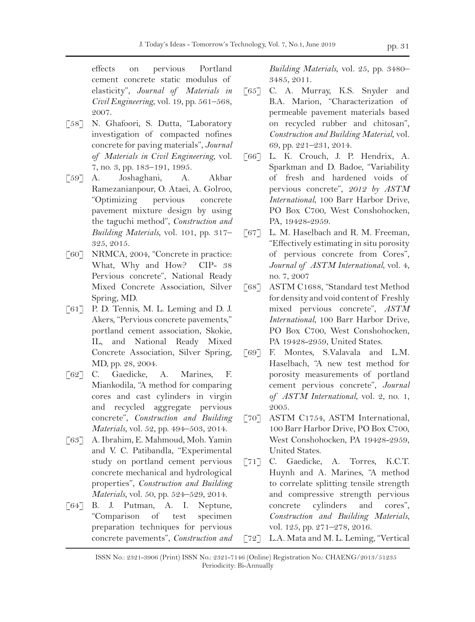effects on pervious Portland cement concrete static modulus of elasticity", *Journal of Materials in Civil Engineering*, vol. 19, pp. 561–568, 2007.

- [58] N. Ghafoori, S. Dutta, "Laboratory investigation of compacted nofines concrete for paving materials", *Journal of Materials in Civil Engineering*, vol. 7, no. 3, pp. 183–191, 1995.
- [59] A. Joshaghani, A. Akbar Ramezanianpour, O. Ataei, A. Golroo, "Optimizing pervious concrete pavement mixture design by using the taguchi method", *Construction and Building Materials,* vol. 101, pp. 317– 325, 2015.
- [60] NRMCA, 2004, "Concrete in practice: What, Why and How? CIP- 38 Pervious concrete", National Ready Mixed Concrete Association, Silver Spring, MD.
- [61] P. D. Tennis, M. L. Leming and D. J. Akers, "Pervious concrete pavements," portland cement association, Skokie, IL, and National Ready Mixed Concrete Association, Silver Spring, MD, pp. 28, 2004.
- [62] C. Gaedicke, A. Marines, F. Miankodila, "A method for comparing cores and cast cylinders in virgin and recycled aggregate pervious concrete", *Construction and Building Materials,* vol. 52, pp. 494–503, 2014.
- [63] A. Ibrahim, E. Mahmoud, Moh. Yamin and V. C. Patibandla, "Experimental study on portland cement pervious concrete mechanical and hydrological properties", *Construction and Building Materials,* vol. 50, pp. 524–529, 2014.
- [64] B. J. Putman, A. I. Neptune, "Comparison of test specimen preparation techniques for pervious concrete pavements", *Construction and*

*Building Materials*, vol. 25, pp. 3480– 3485, 2011.

- [65] C. A. Murray, K.S. Snyder and B.A. Marion, "Characterization of permeable pavement materials based on recycled rubber and chitosan", *Construction and Building Material*, vol. 69, pp. 221–231, 2014.
- [66] L. K. Crouch, J. P. Hendrix, A. Sparkman and D. Badoe, "Variability of fresh and hardened voids of pervious concrete", *2012 by ASTM International*, 100 Barr Harbor Drive, PO Box C700, West Conshohocken, PA, 19428-2959.
- [67] L. M. Haselbach and R. M. Freeman, "Effectively estimating in situ porosity of pervious concrete from Cores", *Journal of ASTM International*, vol. 4, no. 7, 2007
- [68] ASTM C1688, "Standard test Method for density and void content of Freshly mixed pervious concrete", *ASTM International*, 100 Barr Harbor Drive, PO Box C700, West Conshohocken, PA 19428-2959, United States.
- [69] F. Montes, S.Valavala and L.M. Haselbach, "A new test method for porosity measurements of portland cement pervious concrete", *Journal of ASTM International*, vol. 2, no. 1, 2005.
- [70] ASTM C1754, ASTM International, 100 Barr Harbor Drive, PO Box C700, West Conshohocken, PA 19428-2959, United States.
- [71] C. Gaedicke, A. Torres, K.C.T. Huynh and A. Marines, "A method to correlate splitting tensile strength and compressive strength pervious concrete cylinders and cores", *Construction and Building Materials,* vol. 125, pp. 271–278, 2016.
- [72] L.A. Mata and M. L. Leming, "Vertical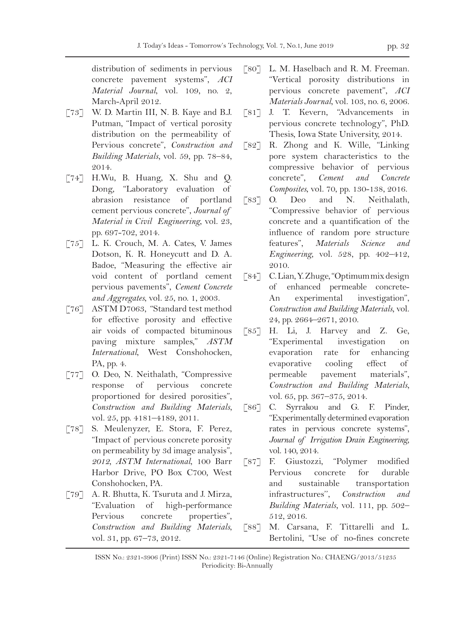distribution of sediments in pervious concrete pavement systems", *ACI Material Journal*, vol. 109, no. 2, March-April 2012.

- [73] W. D. Martin III, N. B. Kaye and B.J. Putman, "Impact of vertical porosity distribution on the permeability of Pervious concrete", *Construction and Building Materials,* vol. 59, pp. 78–84, 2014.
- [74] H.Wu, B. Huang, X. Shu and Q. Dong, "Laboratory evaluation of abrasion resistance of portland cement pervious concrete", *Journal of Material in Civil Engineering*, vol. 23, pp. 697-702, 2014.
- [75] L. K. Crouch, M. A. Cates, V. James Dotson, K. R. Honeycutt and D. A. Badoe, "Measuring the effective air void content of portland cement pervious pavements", *Cement Concrete and Aggregates*, vol. 25, no. 1, 2003.
- [76] ASTM D7063, "Standard test method for effective porosity and effective air voids of compacted bituminous paving mixture samples," *ASTM International*, West Conshohocken, PA, pp. 4.
- [77] O. Deo, N. Neithalath, "Compressive response of pervious concrete proportioned for desired porosities", *Construction and Building Materials,* vol. 25, pp. 4181–4189, 2011.
- [78] S. Meulenyzer, E. Stora, F. Perez, "Impact of pervious concrete porosity on permeability by 3d image analysis", *2012, ASTM International*, 100 Barr Harbor Drive, PO Box C700, West Conshohocken, PA.
- [79] A. R. Bhutta, K. Tsuruta and J. Mirza, "Evaluation of high-performance Pervious concrete properties", *Construction and Building Materials*, vol. 31, pp. 67–73, 2012.
- [80] L. M. Haselbach and R. M. Freeman. "Vertical porosity distributions in pervious concrete pavement", *ACI Materials Journal*, vol. 103, no. 6, 2006.
- [81] J. T. Kevern, "Advancements in pervious concrete technology", PhD. Thesis, Iowa State University, 2014.
- [82] R. Zhong and K. Wille, "Linking pore system characteristics to the compressive behavior of pervious concrete", *Cement and Concrete Composites*, vol. 70, pp. 130-138, 2016.
- [83] O. Deo and N. Neithalath, "Compressive behavior of pervious concrete and a quantification of the influence of random pore structure features", *Materials Science and Engineering*, vol. 528, pp. 402–412, 2010.
- [84] C. Lian, Y. Zhuge, "Optimum mix design of enhanced permeable concrete-An experimental investigation", *Construction and Building Materials,* vol. 24, pp. 2664–2671, 2010.
- [85] H. Li, J. Harvey and Z. Ge, "Experimental investigation on evaporation rate for enhancing evaporative cooling effect of permeable pavement materials", *Construction and Building Materials,* vol. 65, pp. 367–375, 2014.
- [86] C. Syrrakou and G. F. Pinder, "Experimentally determined evaporation rates in pervious concrete systems", *Journal of Irrigation Drain Engineering*, vol. 140, 2014.
- [87] F. Giustozzi, "Polymer modified Pervious concrete for durable and sustainable transportation infrastructures'', *Construction and Building Materials,* vol. 111, pp. 502– 512, 2016.
- [88] M. Carsana, F. Tittarelli and L. Bertolini, "Use of no-fines concrete

ISSN No.: 2321-3906 (Print) ISSN No.: 2321-7146 (Online) Registration No.: CHAENG/2013/51235 Periodicity: Bi-Annually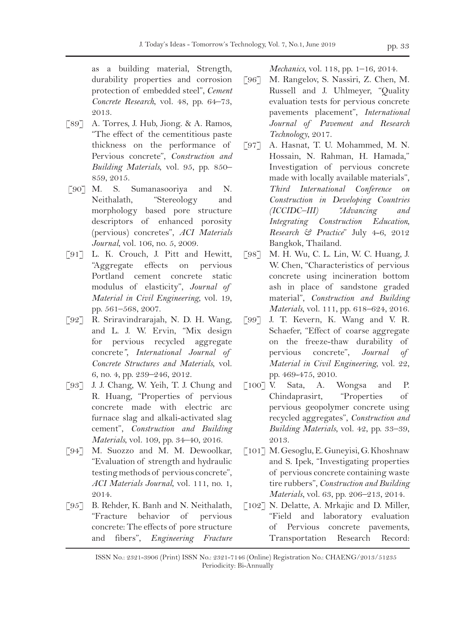as a building material, Strength, durability properties and corrosion protection of embedded steel", *Cement Concrete Research*, vol. 48, pp. 64–73, 2013.

- [89] A. Torres, J. Hub, Jiong. & A. Ramos, "The effect of the cementitious paste thickness on the performance of Pervious concrete", *Construction and Building Materials*, vol. 95, pp. 850– 859, 2015.
- [90] M. S. Sumanasooriya and N. Neithalath, "Stereology and morphology based pore structure descriptors of enhanced porosity (pervious) concretes", *ACI Materials Journal*, vol. 106, no. 5, 2009.
- [91] L. K. Crouch, J. Pitt and Hewitt, "Aggregate effects on pervious Portland cement concrete static modulus of elasticity", *Journal of Material in Civil Engineering*, vol. 19, pp. 561–568, 2007.
- [92] R. Sriravindrarajah, N. D. H. Wang, and L. J. W. Ervin, "Mix design for pervious recycled aggregate concrete*", International Journal of Concrete Structures and Materials*, vol. 6, no. 4, pp. 239–246, 2012.
- [93] J. J. Chang, W. Yeih, T. J. Chung and R. Huang, "Properties of pervious concrete made with electric arc furnace slag and alkali-activated slag cement", *Construction and Building Materials*, vol. 109, pp. 34–40, 2016.
- [94] M. Suozzo and M. M. Dewoolkar, "Evaluation of strength and hydraulic testing methods of pervious concrete", *ACI Materials Journal*, vol. 111, no. 1, 2014.
- [95] B. Rehder, K. Banh and N. Neithalath, "Fracture behavior of pervious concrete: The effects of pore structure and fibers", *Engineering Fracture*

*Mechanics*, vol. 118, pp. 1–16, 2014.

- [96] M. Rangelov, S. Nassiri, Z. Chen, M. Russell and J. Uhlmeyer, "Quality evaluation tests for pervious concrete pavements placement", *International Journal of Pavement and Research Technology*, 2017.
- [97] A. Hasnat, T. U. Mohammed, M. N. Hossain, N. Rahman, H. Hamada," Investigation of pervious concrete made with locally available materials", *Third International Conference on Construction in Developing Countries (ICCIDC–III) "Advancing and Integrating Construction Education, Research & Practice*" July 4-6, 2012 Bangkok, Thailand.
- [98] M. H. Wu, C. L. Lin, W. C. Huang, J. W. Chen, "Characteristics of pervious concrete using incineration bottom ash in place of sandstone graded material", *Construction and Building Materials*, vol. 111, pp. 618–624, 2016.
- [99] J. T. Kevern, K. Wang and V. R. Schaefer, "Effect of coarse aggregate on the freeze-thaw durability of pervious concrete", *Journal of Material in Civil Engineering*, vol. 22, pp. 469-475, 2010.
- $[100]$  V. Sata, A. Wongsa and P. Chindaprasirt, "Properties of pervious geopolymer concrete using recycled aggregates", *Construction and Building Materials,* vol. 42, pp. 33–39, 2013.
- [101] M. Gesoglu, E. Guneyisi, G. Khoshnaw and S. Ipek, "Investigating properties of pervious concrete containing waste tire rubbers", *Construction and Building Materials,* vol. 63, pp. 206–213, 2014.
- [102] N. Delatte, A. Mrkajic and D. Miller, "Field and laboratory evaluation of Pervious concrete pavements, Transportation Research Record: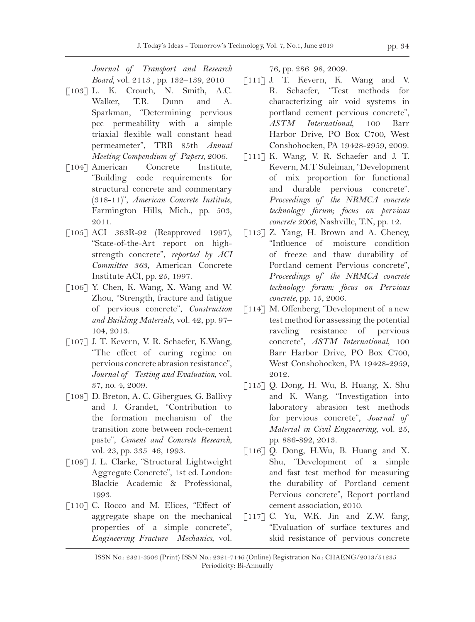*Journal of Transport and Research Board,* vol. 2113 , pp. 132–139, 2010

- $[103]$  L. K. Crouch, N. Smith, A.C. Walker, T.R. Dunn and A. Sparkman, "Determining pervious pcc permeability with a simple triaxial flexible wall constant head permeameter", TRB 85th *Annual Meeting Compendium of Papers*, 2006.
- [104] American Concrete Institute, "Building code requirements for structural concrete and commentary (318-11)", *American Concrete Institute*, Farmington Hills, Mich., pp. 503, 2011.
- [105] ACI 363R-92 (Reapproved 1997), "State-of-the-Art report on highstrength concrete", *reported by ACI Committee 363*, American Concrete Institute ACI, pp. 25, 1997.
- [106] Y. Chen, K. Wang, X. Wang and W. Zhou, "Strength, fracture and fatigue of pervious concrete", *Construction and Building Materials,* vol. 42, pp. 97– 104, 2013.
- [107] J. T. Kevern, V. R. Schaefer, K.Wang, "The effect of curing regime on pervious concrete abrasion resistance", *Journal of Testing and Evaluation*, vol. 37, no. 4, 2009.
- [108] D. Breton, A. C. Gibergues, G. Ballivy and J. Grandet, "Contribution to the formation mechanism of the transition zone between rock-cement paste", *Cement and Concrete Research*, vol. 23, pp. 335–46, 1993.
- [109] J. L. Clarke, "Structural Lightweight Aggregate Concrete", 1st ed. London: Blackie Academic & Professional, 1993.
- [110] C. Rocco and M. Elices, "Effect of aggregate shape on the mechanical properties of a simple concrete", *Engineering Fracture Mechanics*, vol.

76, pp. 286–98, 2009.

- [111] J. T. Kevern, K. Wang and V. R. Schaefer, "Test methods for characterizing air void systems in portland cement pervious concrete", *ASTM International*, 100 Barr Harbor Drive, PO Box C700, West Conshohocken, PA 19428-2959, 2009.
- [111] K. Wang, V. R. Schaefer and J. T. Kevern, M.T Suleiman, "Development of mix proportion for functional and durable pervious concrete". *Proceedings of the NRMCA concrete technology forum; focus on pervious concrete 2006*, Nashville, T.N, pp. 12.
- [113] Z. Yang, H. Brown and A. Cheney, "Influence of moisture condition of freeze and thaw durability of Portland cement Pervious concrete", *Proceedings of the NRMCA concrete technology forum; focus on Pervious concrete*, pp. 15, 2006.
- [114] M. Offenberg, "Development of a new test method for assessing the potential raveling resistance of pervious concrete", *ASTM International*, 100 Barr Harbor Drive, PO Box C700, West Conshohocken, PA 19428-2959, 2012.
- [115] Q. Dong, H. Wu, B. Huang, X. Shu and K. Wang, "Investigation into laboratory abrasion test methods for pervious concrete", *Journal of Material in Civil Engineering*, vol. 25, pp. 886-892, 2013.
- [116] Q. Dong, H.Wu, B. Huang and X. Shu, "Development of a simple and fast test method for measuring the durability of Portland cement Pervious concrete", Report portland cement association, 2010.
- $[117]$  C. Yu, W.K. Jin and Z.W. fang, "Evaluation of surface textures and skid resistance of pervious concrete

ISSN No.: 2321-3906 (Print) ISSN No.: 2321-7146 (Online) Registration No.: CHAENG/2013/51235 Periodicity: Bi-Annually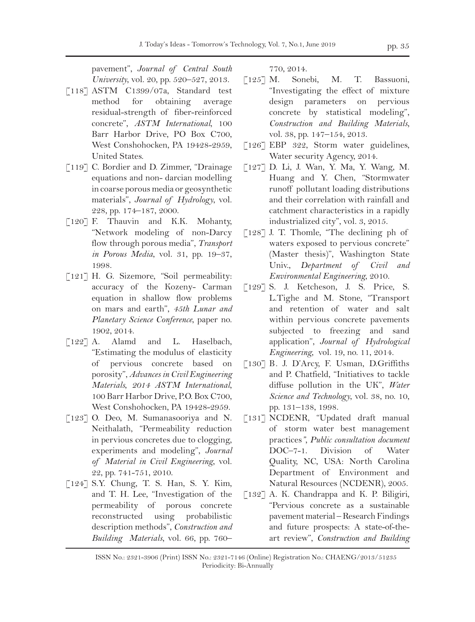pavement", *Journal of Central South University*, vol. 20, pp. 520–527, 2013.

- [118] ASTM C1399/07a, Standard test method for obtaining average residual-strength of fiber-reinforced concrete", *ASTM International*, 100 Barr Harbor Drive, PO Box C700, West Conshohocken, PA 19428-2959, United States.
- [119] C. Bordier and D. Zimmer, "Drainage equations and non- darcian modelling in coarse porous media or geosynthetic materials", *Journal of Hydrology*, vol. 228, pp. 174–187, 2000.
- [120] F. Thauvin and K.K. Mohanty, "Network modeling of non-Darcy flow through porous media", *Transport in Porous Media*, vol. 31, pp. 19–37, 1998.
- [121] H. G. Sizemore, "Soil permeability: accuracy of the Kozeny- Carman equation in shallow flow problems on mars and earth", *45th Lunar and Planetary Science Conference*, paper no. 1902, 2014.
- $\lceil 122 \rceil$  A. Alamd and L. Haselbach, "Estimating the modulus of elasticity of pervious concrete based on porosity", *Advances in Civil Engineering Materials*, *2014 ASTM International*, 100 Barr Harbor Drive, P.O. Box C700, West Conshohocken, PA 19428-2959.
- [123] O. Deo, M. Sumanasooriya and N. Neithalath, "Permeability reduction in pervious concretes due to clogging, experiments and modeling", *Journal of Material in Civil Engineering*, vol. 22, pp. 741-751, 2010.
- [124] S.Y. Chung, T. S. Han, S. Y. Kim, and T. H. Lee, "Investigation of the permeability of porous concrete reconstructed using probabilistic description methods", *Construction and Building Materials,* vol. 66, pp. 760–

770, 2014.

- [125] M. Sonebi, M. T. Bassuoni, "Investigating the effect of mixture design parameters on pervious concrete by statistical modeling", *Construction and Building Materials,* vol. 38, pp. 147–154, 2013.
- [126] EBP 322, Storm water guidelines, Water security Agency, 2014.
- [127] D. Li, J. Wan, Y. Ma, Y. Wang, M. Huang and Y. Chen, "Stormwater runoff pollutant loading distributions and their correlation with rainfall and catchment characteristics in a rapidly industrialized city", vol. 3, 2015.
- [128] J. T. Thomle, "The declining ph of waters exposed to pervious concrete" (Master thesis)", Washington State Univ., *Department of Civil and Environmental Engineering*, 2010.
- [129] S. J. Ketcheson, J. S. Price, S. L.Tighe and M. Stone, "Transport and retention of water and salt within pervious concrete pavements subjected to freezing and sand application", *Journal of Hydrological Engineering*, vol. 19, no. 11, 2014.
- [130] B. J. D'Arcy, F. Usman, D.Griffiths and P. Chatfield, "Initiatives to tackle diffuse pollution in the UK", *Water Science and Technology*, vol. 38, no. 10, pp. 131–138, 1998.
- [131] NCDENR, "Updated draft manual of storm water best management practices*", Public consultation document* DOC–7-1. Division of Water Quality, NC, USA: North Carolina Department of Environment and Natural Resources (NCDENR), 2005.
- [132] A. K. Chandrappa and K. P. Biligiri, "Pervious concrete as a sustainable pavement material – Research Findings and future prospects: A state-of-theart review", *Construction and Building*